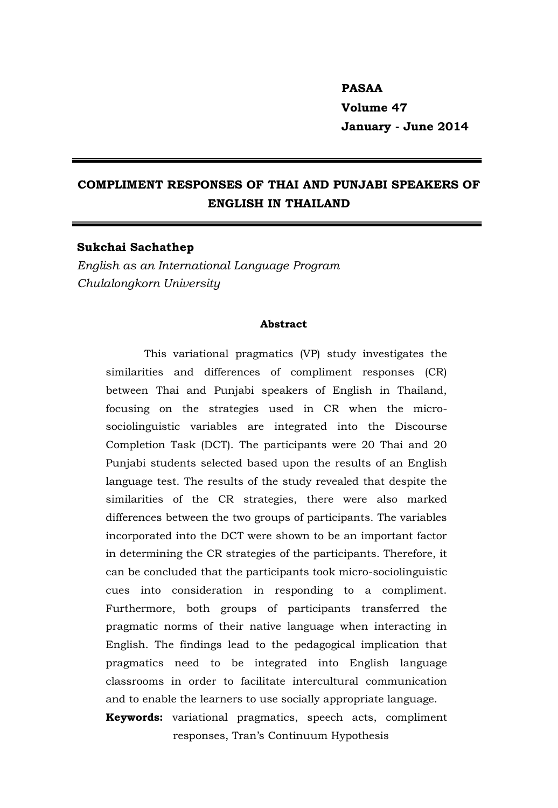# **PASAA Volume 47 January - June 2014**

# **COMPLIMENT RESPONSES OF THAI AND PUNJABI SPEAKERS OF ENGLISH IN THAILAND**

#### **Sukchai Sachathep**

*English as an International Language Program Chulalongkorn University*

#### **Abstract**

This variational pragmatics (VP) study investigates the similarities and differences of compliment responses (CR) between Thai and Punjabi speakers of English in Thailand, focusing on the strategies used in CR when the microsociolinguistic variables are integrated into the Discourse Completion Task (DCT). The participants were 20 Thai and 20 Punjabi students selected based upon the results of an English language test. The results of the study revealed that despite the similarities of the CR strategies, there were also marked differences between the two groups of participants. The variables incorporated into the DCT were shown to be an important factor in determining the CR strategies of the participants. Therefore, it can be concluded that the participants took micro-sociolinguistic cues into consideration in responding to a compliment. Furthermore, both groups of participants transferred the pragmatic norms of their native language when interacting in English. The findings lead to the pedagogical implication that pragmatics need to be integrated into English language classrooms in order to facilitate intercultural communication and to enable the learners to use socially appropriate language.

**Keywords:** variational pragmatics, speech acts, compliment responses, Tran's Continuum Hypothesis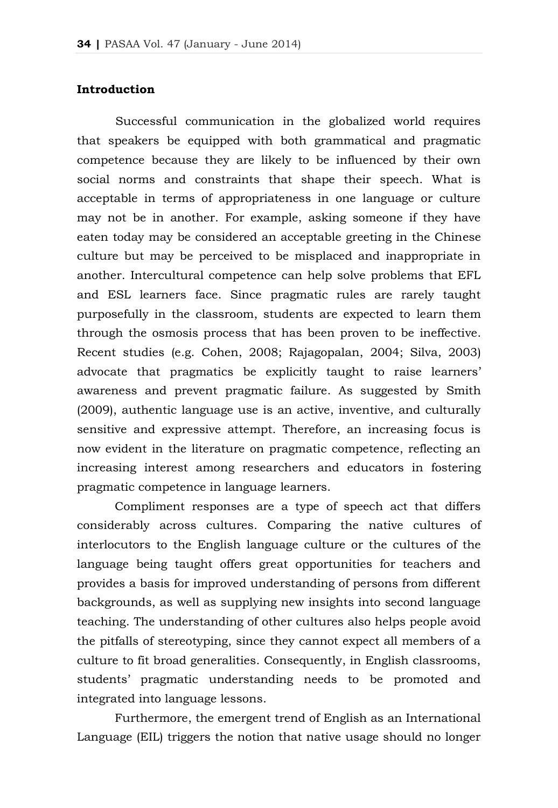# **Introduction**

Successful communication in the globalized world requires that speakers be equipped with both grammatical and pragmatic competence because they are likely to be influenced by their own social norms and constraints that shape their speech. What is acceptable in terms of appropriateness in one language or culture may not be in another. For example, asking someone if they have eaten today may be considered an acceptable greeting in the Chinese culture but may be perceived to be misplaced and inappropriate in another. Intercultural competence can help solve problems that EFL and ESL learners face. Since pragmatic rules are rarely taught purposefully in the classroom, students are expected to learn them through the osmosis process that has been proven to be ineffective. Recent studies (e.g. Cohen, 2008; Rajagopalan, 2004; Silva, 2003) advocate that pragmatics be explicitly taught to raise learners' awareness and prevent pragmatic failure. As suggested by Smith (2009), authentic language use is an active, inventive, and culturally sensitive and expressive attempt. Therefore, an increasing focus is now evident in the literature on pragmatic competence, reflecting an increasing interest among researchers and educators in fostering pragmatic competence in language learners.

Compliment responses are a type of speech act that differs considerably across cultures. Comparing the native cultures of interlocutors to the English language culture or the cultures of the language being taught offers great opportunities for teachers and provides a basis for improved understanding of persons from different backgrounds, as well as supplying new insights into second language teaching. The understanding of other cultures also helps people avoid the pitfalls of stereotyping, since they cannot expect all members of a culture to fit broad generalities. Consequently, in English classrooms, students' pragmatic understanding needs to be promoted and integrated into language lessons.

Furthermore, the emergent trend of English as an International Language (EIL) triggers the notion that native usage should no longer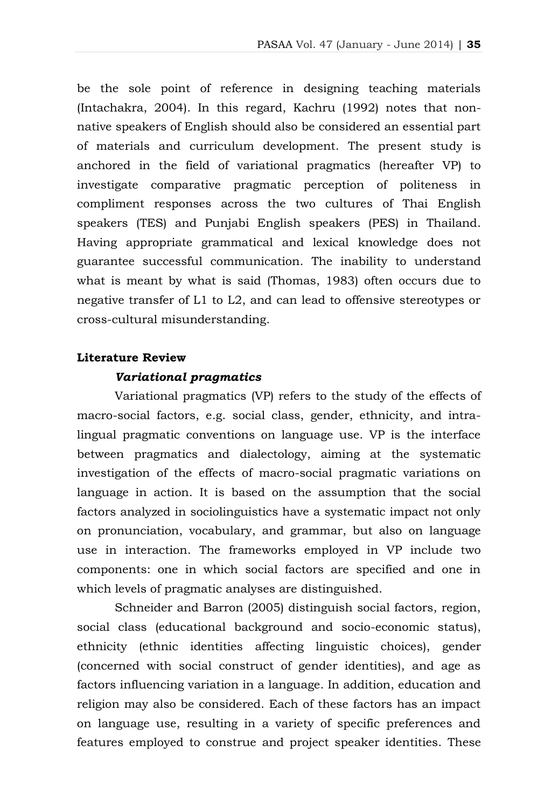be the sole point of reference in designing teaching materials (Intachakra, 2004). In this regard, Kachru (1992) notes that nonnative speakers of English should also be considered an essential part of materials and curriculum development. The present study is anchored in the field of variational pragmatics (hereafter VP) to investigate comparative pragmatic perception of politeness in compliment responses across the two cultures of Thai English speakers (TES) and Punjabi English speakers (PES) in Thailand. Having appropriate grammatical and lexical knowledge does not guarantee successful communication. The inability to understand what is meant by what is said (Thomas, 1983) often occurs due to negative transfer of L1 to L2, and can lead to offensive stereotypes or cross-cultural misunderstanding.

#### **Literature Review**

#### *Variational pragmatics*

Variational pragmatics (VP) refers to the study of the effects of macro-social factors, e.g. social class, gender, ethnicity, and intralingual pragmatic conventions on language use. VP is the interface between pragmatics and dialectology, aiming at the systematic investigation of the effects of macro-social pragmatic variations on language in action. It is based on the assumption that the social factors analyzed in sociolinguistics have a systematic impact not only on pronunciation, vocabulary, and grammar, but also on language use in interaction. The frameworks employed in VP include two components: one in which social factors are specified and one in which levels of pragmatic analyses are distinguished.

Schneider and Barron (2005) distinguish social factors, region, social class (educational background and socio-economic status), ethnicity (ethnic identities affecting linguistic choices), gender (concerned with social construct of gender identities), and age as factors influencing variation in a language. In addition, education and religion may also be considered. Each of these factors has an impact on language use, resulting in a variety of specific preferences and features employed to construe and project speaker identities. These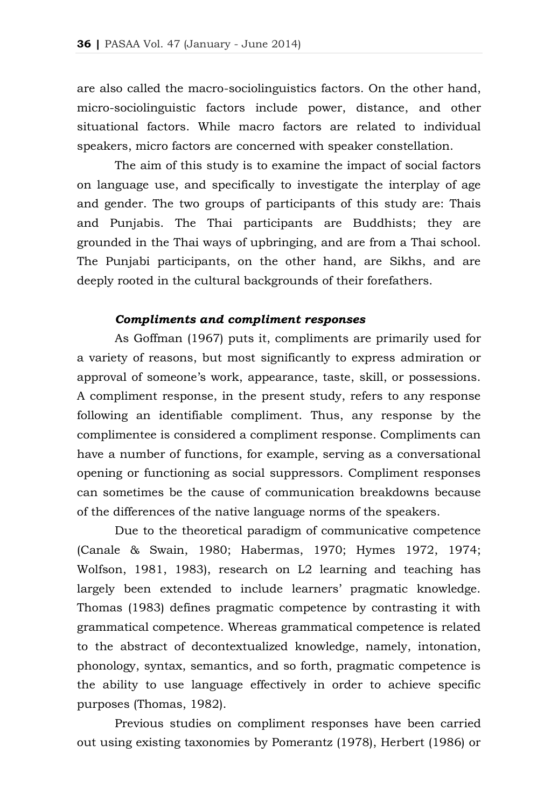are also called the macro-sociolinguistics factors. On the other hand, micro-sociolinguistic factors include power, distance, and other situational factors. While macro factors are related to individual speakers, micro factors are concerned with speaker constellation.

The aim of this study is to examine the impact of social factors on language use, and specifically to investigate the interplay of age and gender. The two groups of participants of this study are: Thais and Punjabis. The Thai participants are Buddhists; they are grounded in the Thai ways of upbringing, and are from a Thai school. The Punjabi participants, on the other hand, are Sikhs, and are deeply rooted in the cultural backgrounds of their forefathers.

# *Compliments and compliment responses*

As Goffman (1967) puts it, compliments are primarily used for a variety of reasons, but most significantly to express admiration or approval of someone's work, appearance, taste, skill, or possessions. A compliment response, in the present study, refers to any response following an identifiable compliment. Thus, any response by the complimentee is considered a compliment response. Compliments can have a number of functions, for example, serving as a conversational opening or functioning as social suppressors. Compliment responses can sometimes be the cause of communication breakdowns because of the differences of the native language norms of the speakers.

Due to the theoretical paradigm of communicative competence (Canale & Swain, 1980; Habermas, 1970; Hymes 1972, 1974; Wolfson, 1981, 1983), research on L2 learning and teaching has largely been extended to include learners' pragmatic knowledge. Thomas (1983) defines pragmatic competence by contrasting it with grammatical competence. Whereas grammatical competence is related to the abstract of decontextualized knowledge, namely, intonation, phonology, syntax, semantics, and so forth, pragmatic competence is the ability to use language effectively in order to achieve specific purposes (Thomas, 1982).

Previous studies on compliment responses have been carried out using existing taxonomies by Pomerantz (1978), Herbert (1986) or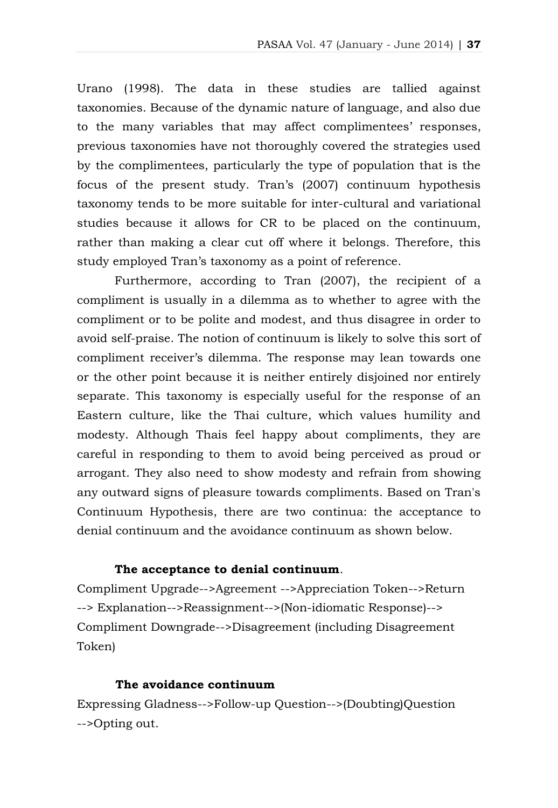Urano (1998). The data in these studies are tallied against taxonomies. Because of the dynamic nature of language, and also due to the many variables that may affect complimentees' responses, previous taxonomies have not thoroughly covered the strategies used by the complimentees, particularly the type of population that is the focus of the present study. Tran's (2007) continuum hypothesis taxonomy tends to be more suitable for inter-cultural and variational studies because it allows for CR to be placed on the continuum, rather than making a clear cut off where it belongs. Therefore, this study employed Tran's taxonomy as a point of reference.

Furthermore, according to Tran (2007), the recipient of a compliment is usually in a dilemma as to whether to agree with the compliment or to be polite and modest, and thus disagree in order to avoid self-praise. The notion of continuum is likely to solve this sort of compliment receiver's dilemma. The response may lean towards one or the other point because it is neither entirely disjoined nor entirely separate. This taxonomy is especially useful for the response of an Eastern culture, like the Thai culture, which values humility and modesty. Although Thais feel happy about compliments, they are careful in responding to them to avoid being perceived as proud or arrogant. They also need to show modesty and refrain from showing any outward signs of pleasure towards compliments. Based on Tran's Continuum Hypothesis, there are two continua: the acceptance to denial continuum and the avoidance continuum as shown below.

# **The acceptance to denial continuum**.

Compliment Upgrade-->Agreement -->Appreciation Token-->Return --> Explanation-->Reassignment-->(Non-idiomatic Response)--> Compliment Downgrade-->Disagreement (including Disagreement Token)

# **The avoidance continuum**

Expressing Gladness-->Follow-up Question-->(Doubting)Question -->Opting out.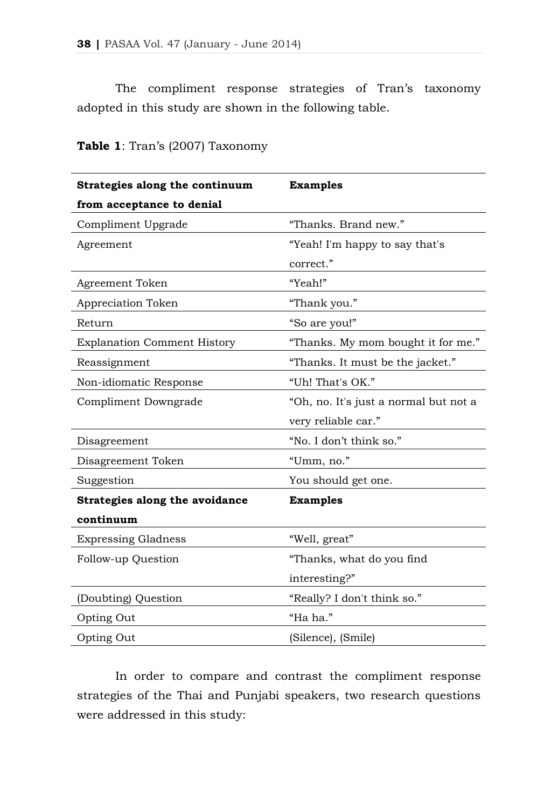The compliment response strategies of Tran's taxonomy adopted in this study are shown in the following table.

| Strategies along the continuum     | <b>Examples</b>                       |  |  |  |  |  |  |
|------------------------------------|---------------------------------------|--|--|--|--|--|--|
| from acceptance to denial          |                                       |  |  |  |  |  |  |
| Compliment Upgrade                 | "Thanks. Brand new."                  |  |  |  |  |  |  |
| Agreement                          | "Yeah! I'm happy to say that's        |  |  |  |  |  |  |
|                                    | correct."                             |  |  |  |  |  |  |
| Agreement Token                    | "Yeah!"                               |  |  |  |  |  |  |
| Appreciation Token                 | "Thank you."                          |  |  |  |  |  |  |
| Return                             | "So are you!"                         |  |  |  |  |  |  |
| <b>Explanation Comment History</b> | "Thanks. My mom bought it for me."    |  |  |  |  |  |  |
| Reassignment                       | "Thanks. It must be the jacket."      |  |  |  |  |  |  |
| Non-idiomatic Response             | "Uh! That's OK."                      |  |  |  |  |  |  |
| Compliment Downgrade               | "Oh, no. It's just a normal but not a |  |  |  |  |  |  |
|                                    | very reliable car."                   |  |  |  |  |  |  |
| Disagreement                       | "No. I don't think so."               |  |  |  |  |  |  |
| Disagreement Token                 | "Umm, no."                            |  |  |  |  |  |  |
| Suggestion                         | You should get one.                   |  |  |  |  |  |  |
| Strategies along the avoidance     | <b>Examples</b>                       |  |  |  |  |  |  |
| continuum                          |                                       |  |  |  |  |  |  |
| <b>Expressing Gladness</b>         | "Well, great"                         |  |  |  |  |  |  |
| Follow-up Question                 | "Thanks, what do you find             |  |  |  |  |  |  |
|                                    | interesting?"                         |  |  |  |  |  |  |
| (Doubting) Question                | "Really? I don't think so."           |  |  |  |  |  |  |
| Opting Out                         | "Ha ha."                              |  |  |  |  |  |  |
| Opting Out                         | (Silence), (Smile)                    |  |  |  |  |  |  |

**Table 1**: Tran's (2007) Taxonomy

In order to compare and contrast the compliment response strategies of the Thai and Punjabi speakers, two research questions were addressed in this study: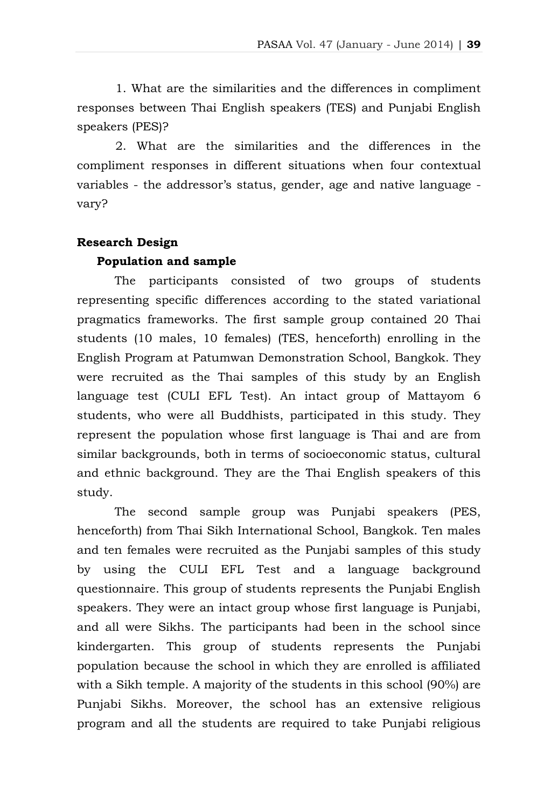1. What are the similarities and the differences in compliment responses between Thai English speakers (TES) and Punjabi English speakers (PES)?

2. What are the similarities and the differences in the compliment responses in different situations when four contextual variables - the addressor's status, gender, age and native language vary?

# **Research Design**

## **Population and sample**

The participants consisted of two groups of students representing specific differences according to the stated variational pragmatics frameworks. The first sample group contained 20 Thai students (10 males, 10 females) (TES, henceforth) enrolling in the English Program at Patumwan Demonstration School, Bangkok. They were recruited as the Thai samples of this study by an English language test (CULI EFL Test). An intact group of Mattayom 6 students, who were all Buddhists, participated in this study. They represent the population whose first language is Thai and are from similar backgrounds, both in terms of socioeconomic status, cultural and ethnic background. They are the Thai English speakers of this study.

The second sample group was Punjabi speakers (PES, henceforth) from Thai Sikh International School, Bangkok. Ten males and ten females were recruited as the Punjabi samples of this study by using the CULI EFL Test and a language background questionnaire. This group of students represents the Punjabi English speakers. They were an intact group whose first language is Punjabi, and all were Sikhs. The participants had been in the school since kindergarten. This group of students represents the Punjabi population because the school in which they are enrolled is affiliated with a Sikh temple. A majority of the students in this school (90%) are Punjabi Sikhs. Moreover, the school has an extensive religious program and all the students are required to take Punjabi religious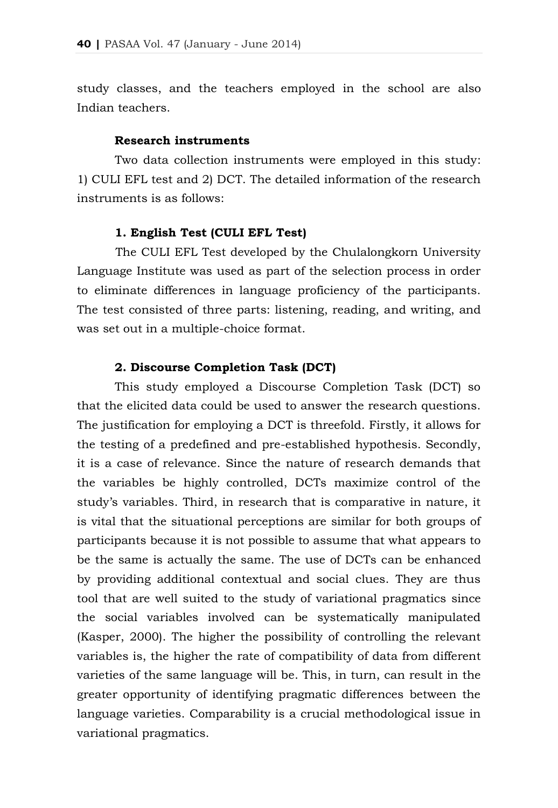study classes, and the teachers employed in the school are also Indian teachers.

## **Research instruments**

Two data collection instruments were employed in this study: 1) CULI EFL test and 2) DCT. The detailed information of the research instruments is as follows:

## **1. English Test (CULI EFL Test)**

The CULI EFL Test developed by the Chulalongkorn University Language Institute was used as part of the selection process in order to eliminate differences in language proficiency of the participants. The test consisted of three parts: listening, reading, and writing, and was set out in a multiple-choice format.

# **2. Discourse Completion Task (DCT)**

This study employed a Discourse Completion Task (DCT) so that the elicited data could be used to answer the research questions. The justification for employing a DCT is threefold. Firstly, it allows for the testing of a predefined and pre-established hypothesis. Secondly, it is a case of relevance. Since the nature of research demands that the variables be highly controlled, DCTs maximize control of the study's variables. Third, in research that is comparative in nature, it is vital that the situational perceptions are similar for both groups of participants because it is not possible to assume that what appears to be the same is actually the same. The use of DCTs can be enhanced by providing additional contextual and social clues. They are thus tool that are well suited to the study of variational pragmatics since the social variables involved can be systematically manipulated (Kasper, 2000). The higher the possibility of controlling the relevant variables is, the higher the rate of compatibility of data from different varieties of the same language will be. This, in turn, can result in the greater opportunity of identifying pragmatic differences between the language varieties. Comparability is a crucial methodological issue in variational pragmatics.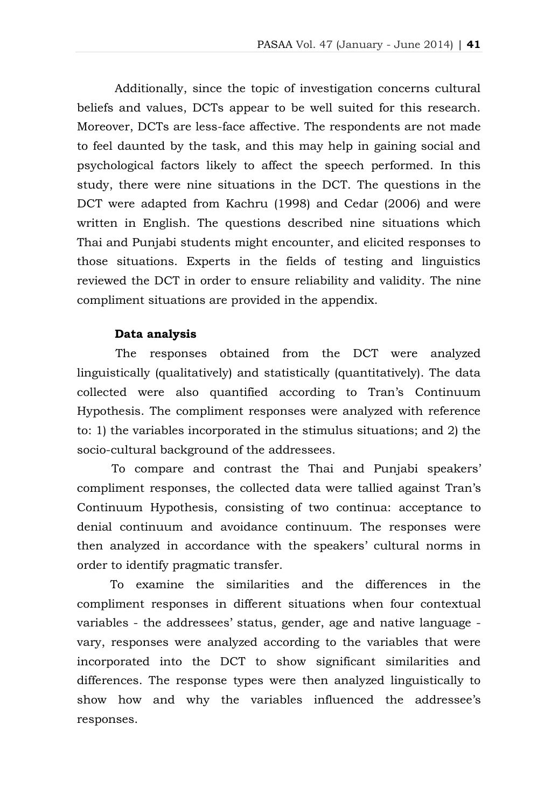Additionally, since the topic of investigation concerns cultural beliefs and values, DCTs appear to be well suited for this research. Moreover, DCTs are less-face affective. The respondents are not made to feel daunted by the task, and this may help in gaining social and psychological factors likely to affect the speech performed. In this study, there were nine situations in the DCT. The questions in the DCT were adapted from Kachru (1998) and Cedar (2006) and were written in English. The questions described nine situations which Thai and Punjabi students might encounter, and elicited responses to those situations. Experts in the fields of testing and linguistics reviewed the DCT in order to ensure reliability and validity. The nine compliment situations are provided in the appendix.

### **Data analysis**

The responses obtained from the DCT were analyzed linguistically (qualitatively) and statistically (quantitatively). The data collected were also quantified according to Tran's Continuum Hypothesis. The compliment responses were analyzed with reference to: 1) the variables incorporated in the stimulus situations; and 2) the socio-cultural background of the addressees.

To compare and contrast the Thai and Punjabi speakers' compliment responses, the collected data were tallied against Tran's Continuum Hypothesis, consisting of two continua: acceptance to denial continuum and avoidance continuum. The responses were then analyzed in accordance with the speakers' cultural norms in order to identify pragmatic transfer.

To examine the similarities and the differences in the compliment responses in different situations when four contextual variables - the addressees' status, gender, age and native language vary, responses were analyzed according to the variables that were incorporated into the DCT to show significant similarities and differences. The response types were then analyzed linguistically to show how and why the variables influenced the addressee's responses.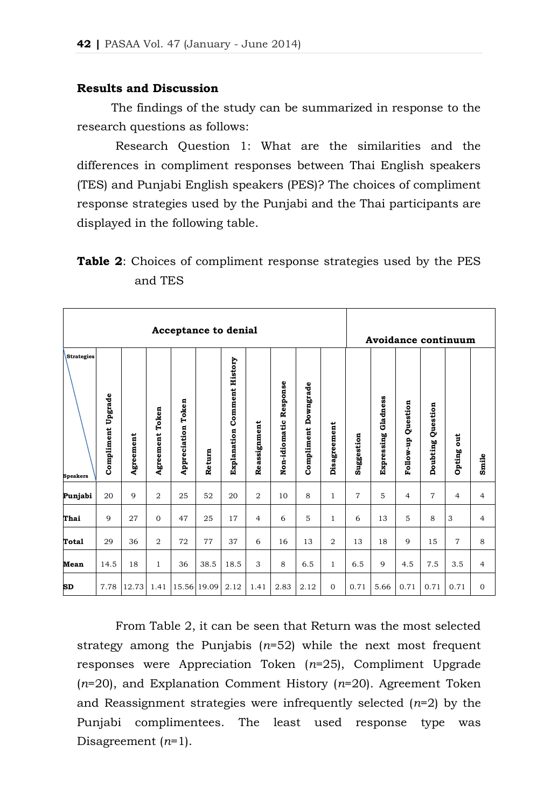#### **Results and Discussion**

The findings of the study can be summarized in response to the research questions as follows:

Research Question 1: What are the similarities and the differences in compliment responses between Thai English speakers (TES) and Punjabi English speakers (PES)? The choices of compliment response strategies used by the Punjabi and the Thai participants are displayed in the following table.

**Table 2**: Choices of compliment response strategies used by the PES and TES

|                                      | <b>Acceptance to denial</b> |           |                 |                           |             |                                    |                |                        |                      |                |                |                            |                       | Avoidance continuum |                |                |  |  |  |  |  |
|--------------------------------------|-----------------------------|-----------|-----------------|---------------------------|-------------|------------------------------------|----------------|------------------------|----------------------|----------------|----------------|----------------------------|-----------------------|---------------------|----------------|----------------|--|--|--|--|--|
| <b>Strategies</b><br><b>Speakers</b> | Compliment Upgrade          | Agreement | Agreement Token | <b>Appreciation Token</b> | Return      | <b>Explanation Comment History</b> | Reassignment   | Non-idiomatic Response | Compliment Downgrade | Disagreement   | Suggestion     | <b>Expressing Gladness</b> | Question<br>Follow-up | Doubting Question   | out<br>Opting  | Smile          |  |  |  |  |  |
| Punjabi                              | 20                          | 9         | $\overline{2}$  | 25                        | 52          | 20                                 | $\overline{2}$ | 10                     | 8                    | $\mathbf{1}$   | $\overline{7}$ | 5                          | $\overline{4}$        | $\overline{7}$      | $\overline{4}$ | $\overline{4}$ |  |  |  |  |  |
| Thai                                 | 9                           | 27        | $\mathbf{O}$    | 47                        | 25          | 17                                 | $\overline{4}$ | 6                      | 5                    | $\mathbf{1}$   | 6              | 13                         | 5                     | 8                   | 3              | $\overline{4}$ |  |  |  |  |  |
| Total                                | 29                          | 36        | $\overline{2}$  | 72                        | 77          | 37                                 | 6              | 16                     | 13                   | $\overline{2}$ | 13             | 18                         | 9                     | 15                  | $\overline{7}$ | 8              |  |  |  |  |  |
| Mean                                 | 14.5                        | 18        | $\mathbf{1}$    | 36                        | 38.5        | 18.5                               | 3              | 8                      | 6.5                  | $\mathbf{1}$   | 6.5            | 9                          | 4.5                   | 7.5                 | 3.5            | $\overline{4}$ |  |  |  |  |  |
| <b>SD</b>                            | 7.78                        | 12.73     | 1.41            |                           | 15.56 19.09 | 2.12                               | 1.41           | 2.83                   | 2.12                 | $\mathbf{O}$   | 0.71           | 5.66                       | 0.71                  | 0.71                | 0.71           | $\mathbf{O}$   |  |  |  |  |  |

From Table 2, it can be seen that Return was the most selected strategy among the Punjabis (*n*=52) while the next most frequent responses were Appreciation Token (*n*=25), Compliment Upgrade (*n*=20), and Explanation Comment History (*n*=20). Agreement Token and Reassignment strategies were infrequently selected (*n*=2) by the Punjabi complimentees. The least used response type was Disagreement (*n*=1).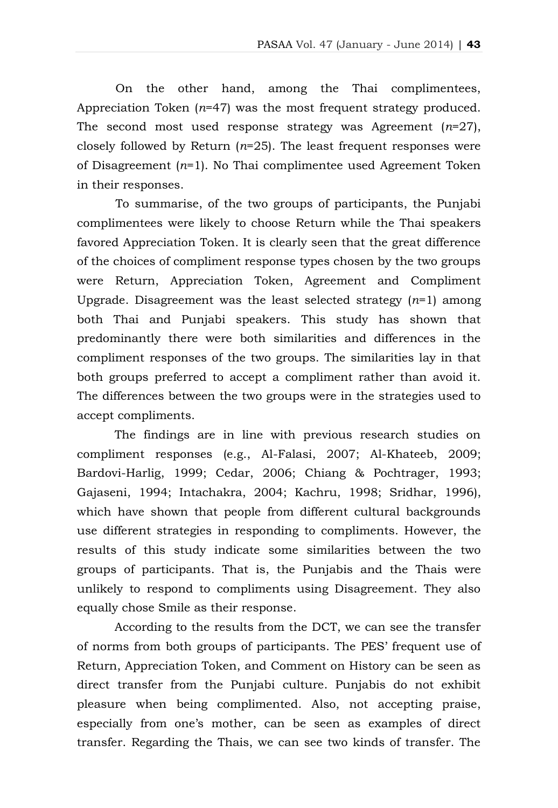On the other hand, among the Thai complimentees, Appreciation Token (*n*=47) was the most frequent strategy produced. The second most used response strategy was Agreement (*n*=27), closely followed by Return (*n*=25). The least frequent responses were of Disagreement (*n*=1). No Thai complimentee used Agreement Token in their responses.

To summarise, of the two groups of participants, the Punjabi complimentees were likely to choose Return while the Thai speakers favored Appreciation Token. It is clearly seen that the great difference of the choices of compliment response types chosen by the two groups were Return, Appreciation Token, Agreement and Compliment Upgrade. Disagreement was the least selected strategy (*n*=1) among both Thai and Punjabi speakers. This study has shown that predominantly there were both similarities and differences in the compliment responses of the two groups. The similarities lay in that both groups preferred to accept a compliment rather than avoid it. The differences between the two groups were in the strategies used to accept compliments.

The findings are in line with previous research studies on compliment responses (e.g., Al-Falasi, 2007; Al-Khateeb, 2009; Bardovi-Harlig, 1999; Cedar, 2006; Chiang & Pochtrager, 1993; Gajaseni, 1994; Intachakra, 2004; Kachru, 1998; Sridhar, 1996), which have shown that people from different cultural backgrounds use different strategies in responding to compliments. However, the results of this study indicate some similarities between the two groups of participants. That is, the Punjabis and the Thais were unlikely to respond to compliments using Disagreement. They also equally chose Smile as their response.

According to the results from the DCT, we can see the transfer of norms from both groups of participants. The PES' frequent use of Return, Appreciation Token, and Comment on History can be seen as direct transfer from the Punjabi culture. Punjabis do not exhibit pleasure when being complimented. Also, not accepting praise, especially from one's mother, can be seen as examples of direct transfer. Regarding the Thais, we can see two kinds of transfer. The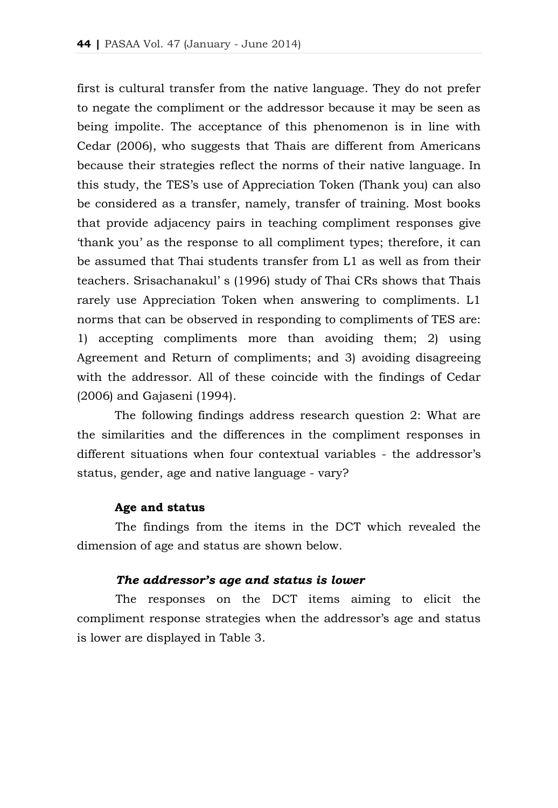first is cultural transfer from the native language. They do not prefer to negate the compliment or the addressor because it may be seen as being impolite. The acceptance of this phenomenon is in line with Cedar (2006), who suggests that Thais are different from Americans because their strategies reflect the norms of their native language. In this study, the TES's use of Appreciation Token (Thank you) can also be considered as a transfer, namely, transfer of training. Most books that provide adjacency pairs in teaching compliment responses give 'thank you' as the response to all compliment types; therefore, it can be assumed that Thai students transfer from L1 as well as from their teachers. Srisachanakul' s (1996) study of Thai CRs shows that Thais rarely use Appreciation Token when answering to compliments. L1 norms that can be observed in responding to compliments of TES are: 1) accepting compliments more than avoiding them; 2) using Agreement and Return of compliments; and 3) avoiding disagreeing with the addressor. All of these coincide with the findings of Cedar (2006) and Gajaseni (1994).

The following findings address research question 2: What are the similarities and the differences in the compliment responses in different situations when four contextual variables - the addressor's status, gender, age and native language - vary?

#### **Age and status**

The findings from the items in the DCT which revealed the dimension of age and status are shown below.

# *The addressor's age and status is lower*

The responses on the DCT items aiming to elicit the compliment response strategies when the addressor's age and status is lower are displayed in Table 3.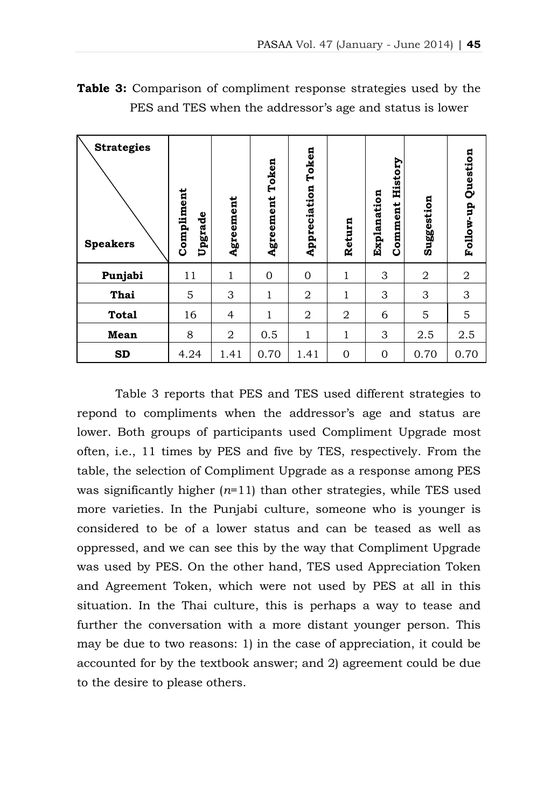| <b>Strategies</b><br><b>Speakers</b> | Compliment<br>Upgrade | Agreement      | Token<br>Agreement | Token<br>Appreciation | Return       | History<br>Explanation<br>Comment | Suggestion     | Question<br>Follow-up |
|--------------------------------------|-----------------------|----------------|--------------------|-----------------------|--------------|-----------------------------------|----------------|-----------------------|
| Punjabi                              | 11                    | $\mathbf{1}$   | $\overline{0}$     | $\mathbf 0$           | $\mathbf 1$  | 3                                 | $\overline{2}$ | 2                     |
| Thai                                 | 5                     | 3              | $\mathbf{1}$       | 2                     | 1            | 3                                 | 3              | 3                     |
| <b>Total</b>                         | 16                    | $\overline{4}$ | 1                  | 2                     | 2            | 6                                 | 5              | 5                     |
| Mean                                 | 8                     | $\overline{2}$ | 0.5                | $\mathbf 1$           | 1            | 3                                 | 2.5            | 2.5                   |
| <b>SD</b>                            | 4.24                  | 1.41           | 0.70               | 1.41                  | $\mathbf{0}$ | 0                                 | 0.70           | 0.70                  |

**Table 3:** Comparison of compliment response strategies used by the PES and TES when the addressor's age and status is lower

Table 3 reports that PES and TES used different strategies to repond to compliments when the addressor's age and status are lower. Both groups of participants used Compliment Upgrade most often, i.e., 11 times by PES and five by TES, respectively. From the table, the selection of Compliment Upgrade as a response among PES was significantly higher (*n*=11) than other strategies, while TES used more varieties. In the Punjabi culture, someone who is younger is considered to be of a lower status and can be teased as well as oppressed, and we can see this by the way that Compliment Upgrade was used by PES. On the other hand, TES used Appreciation Token and Agreement Token, which were not used by PES at all in this situation. In the Thai culture, this is perhaps a way to tease and further the conversation with a more distant younger person. This may be due to two reasons: 1) in the case of appreciation, it could be accounted for by the textbook answer; and 2) agreement could be due to the desire to please others.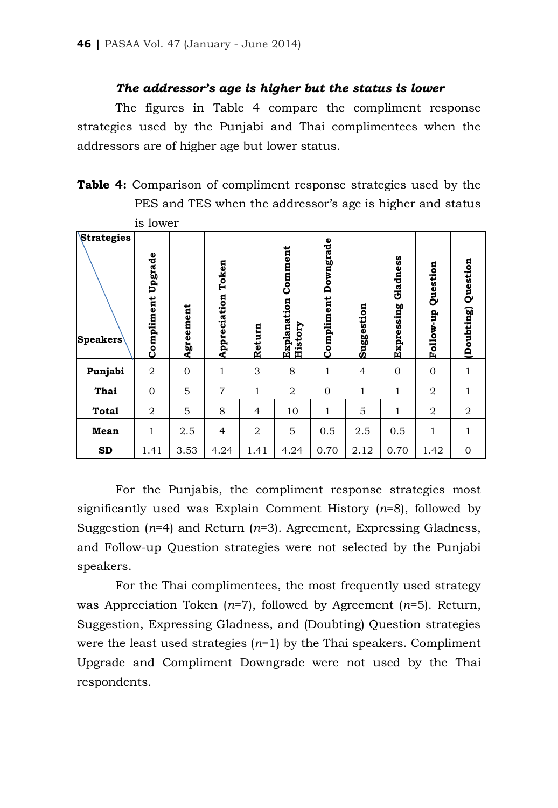## *The addressor's age is higher but the status is lower*

The figures in Table 4 compare the compliment response strategies used by the Punjabi and Thai complimentees when the addressors are of higher age but lower status.

**Table 4:** Comparison of compliment response strategies used by the PES and TES when the addressor's age is higher and status is lower

| <b>Strategies</b><br><b>Speakers</b> | Upgrade<br>Compliment | Agreement        | Token<br>Appreciation | Return         | Comment<br>Explanation<br><b>History</b> | <b>Compliment Downgrade</b> | Suggestion     | Gladness<br>Expressing | Question<br>Follow-up | Question<br>(Doubting) |
|--------------------------------------|-----------------------|------------------|-----------------------|----------------|------------------------------------------|-----------------------------|----------------|------------------------|-----------------------|------------------------|
| Punjabi                              | $\overline{2}$        | $\boldsymbol{0}$ | 1                     | 3              | 8                                        | 1                           | $\overline{4}$ | $\mathbf{0}$           | $\overline{0}$        | 1                      |
| Thai                                 | $\mathbf{0}$          | 5                | 7                     | 1              | $\overline{2}$                           | $\mathbf{0}$                | 1              | 1                      | 2                     | $\mathbf{1}$           |
| <b>Total</b>                         | $\overline{a}$        | 5                | 8                     | $\overline{4}$ | 10                                       | 1                           | 5              | $\mathbf{1}$           | $\overline{2}$        | $\overline{2}$         |
| Mean                                 | $\mathbf{1}$          | 2.5              | $\overline{4}$        | $\overline{2}$ | 5                                        | 0.5                         | 2.5            | 0.5                    | 1                     | 1                      |
| SD                                   | 1.41                  | 3.53             | 4.24                  | 1.41           | 4.24                                     | 0.70                        | 2.12           | 0.70                   | 1.42                  | $\mathbf 0$            |

For the Punjabis, the compliment response strategies most significantly used was Explain Comment History (*n*=8), followed by Suggestion (*n*=4) and Return (*n*=3). Agreement, Expressing Gladness, and Follow-up Question strategies were not selected by the Punjabi speakers.

For the Thai complimentees, the most frequently used strategy was Appreciation Token (*n*=7), followed by Agreement (*n*=5). Return, Suggestion, Expressing Gladness, and (Doubting) Question strategies were the least used strategies  $(n=1)$  by the Thai speakers. Compliment Upgrade and Compliment Downgrade were not used by the Thai respondents.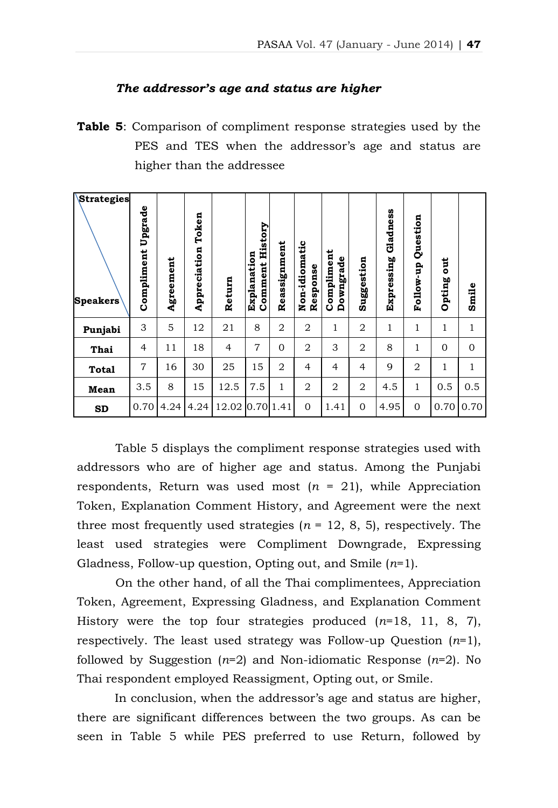## *The addressor's age and status are higher*

**Table 5**: Comparison of compliment response strategies used by the PES and TES when the addressor's age and status are higher than the addressee

| Strategies<br><b>Speakers</b> | Upgrade<br>Compliment | Agreement | Token<br>Appreciation | Return | History<br>Explanation<br>Comment | Reassignment   | Non-idiomatic<br>Response | Compliment<br>Downgrade | Suggestion     | Gladness<br>Expressing | Question<br>Follow-up | ă<br>Opting  | Smile        |
|-------------------------------|-----------------------|-----------|-----------------------|--------|-----------------------------------|----------------|---------------------------|-------------------------|----------------|------------------------|-----------------------|--------------|--------------|
| Punjabi                       | 3                     | 5         | 12                    | 21     | 8                                 | $\overline{2}$ | 2                         | 1                       | 2              | 1                      | 1                     | 1            | 1            |
| Thai                          | $\overline{4}$        | 11        | 18                    | 4      | $\overline{7}$                    | $\Omega$       | 2                         | 3                       | 2              | 8                      | 1                     | $\mathbf{0}$ | $\Omega$     |
| <b>Total</b>                  | $\overline{7}$        | 16        | 30                    | 25     | 15                                | $\overline{2}$ | $\overline{4}$            | $\overline{4}$          | $\overline{4}$ | 9                      | 2                     | 1            | $\mathbf{1}$ |
| Mean                          | 3.5                   | 8         | 15                    | 12.5   | 7.5                               | 1              | 2                         | $\overline{2}$          | $\overline{2}$ | 4.5                    | $\mathbf{1}$          | 0.5          | 0.5          |
| <b>SD</b>                     | 0.70                  | 4.24      | 4.24                  | 12.02  | 0.70 1.41                         |                | $\mathbf{0}$              | 1.41                    | $\Omega$       | 4.95                   | $\mathbf{0}$          | 0.70         | 0.70         |

Table 5 displays the compliment response strategies used with addressors who are of higher age and status. Among the Punjabi respondents, Return was used most  $(n = 21)$ , while Appreciation Token, Explanation Comment History, and Agreement were the next three most frequently used strategies  $(n = 12, 8, 5)$ , respectively. The least used strategies were Compliment Downgrade, Expressing Gladness, Follow-up question, Opting out, and Smile (*n*=1).

On the other hand, of all the Thai complimentees, Appreciation Token, Agreement, Expressing Gladness, and Explanation Comment History were the top four strategies produced (*n*=18, 11, 8, 7), respectively. The least used strategy was Follow-up Question (*n*=1), followed by Suggestion (*n*=2) and Non-idiomatic Response (*n*=2). No Thai respondent employed Reassigment, Opting out, or Smile.

In conclusion, when the addressor's age and status are higher, there are significant differences between the two groups. As can be seen in Table 5 while PES preferred to use Return, followed by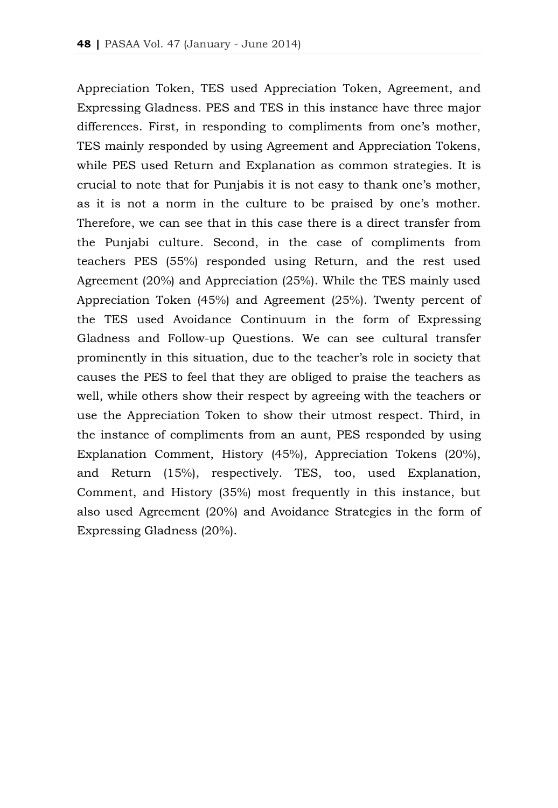Appreciation Token, TES used Appreciation Token, Agreement, and Expressing Gladness. PES and TES in this instance have three major differences. First, in responding to compliments from one's mother, TES mainly responded by using Agreement and Appreciation Tokens, while PES used Return and Explanation as common strategies. It is crucial to note that for Punjabis it is not easy to thank one's mother, as it is not a norm in the culture to be praised by one's mother. Therefore, we can see that in this case there is a direct transfer from the Punjabi culture. Second, in the case of compliments from teachers PES (55%) responded using Return, and the rest used Agreement (20%) and Appreciation (25%). While the TES mainly used Appreciation Token (45%) and Agreement (25%). Twenty percent of the TES used Avoidance Continuum in the form of Expressing Gladness and Follow-up Questions. We can see cultural transfer prominently in this situation, due to the teacher's role in society that causes the PES to feel that they are obliged to praise the teachers as well, while others show their respect by agreeing with the teachers or use the Appreciation Token to show their utmost respect. Third, in the instance of compliments from an aunt, PES responded by using Explanation Comment, History (45%), Appreciation Tokens (20%), and Return (15%), respectively. TES, too, used Explanation, Comment, and History (35%) most frequently in this instance, but also used Agreement (20%) and Avoidance Strategies in the form of Expressing Gladness (20%).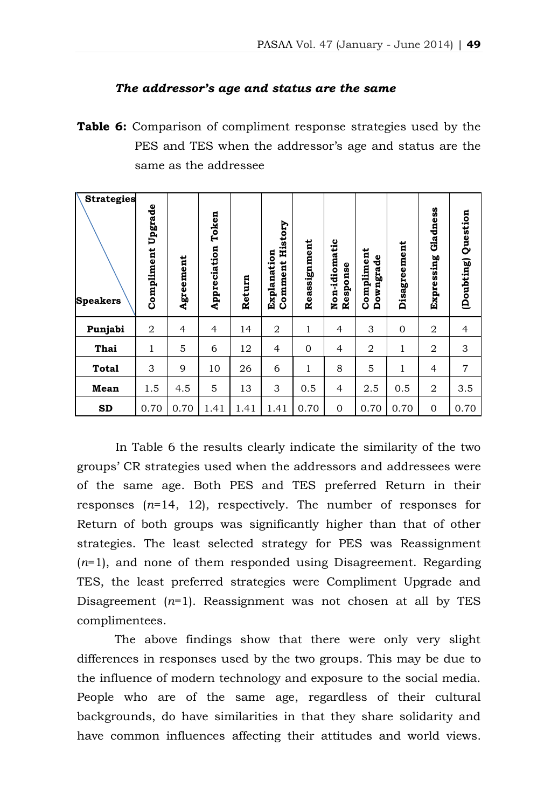#### *The addressor's age and status are the same*

**Table 6:** Comparison of compliment response strategies used by the PES and TES when the addressor's age and status are the same as the addressee

| <b>Strategies</b><br><b>Speakers</b> | Upgrade<br>Compliment | Agreement      | Token<br>Appreciation | Return | History<br>Explanation<br>Comment | Reassignment | Non-idiomatic<br>Response | Compliment<br>Downgrade | Disagreement   | Gladness<br>Expressing | Question<br>(Doubting) |
|--------------------------------------|-----------------------|----------------|-----------------------|--------|-----------------------------------|--------------|---------------------------|-------------------------|----------------|------------------------|------------------------|
| Punjabi                              | 2                     | $\overline{4}$ | $\overline{4}$        | 14     | 2                                 | 1            | $\overline{4}$            | 3                       | $\overline{0}$ | $\overline{2}$         | $\overline{4}$         |
| Thai                                 | 1                     | 5              | 6                     | 12     | $\overline{4}$                    | $\mathbf{0}$ | 4                         | 2                       | 1              | 2                      | 3                      |
| <b>Total</b>                         | 3                     | 9              | 10                    | 26     | 6                                 | 1            | 8                         | 5                       | 1              | 4                      | $\overline{7}$         |
| Mean                                 | 1.5                   | 4.5            | 5                     | 13     | 3                                 | 0.5          | 4                         | 2.5                     | 0.5            | 2                      | 3.5                    |
| <b>SD</b>                            | 0.70                  | 0.70           | 1.41                  | 1.41   | 1.41                              | 0.70         | $\mathbf{0}$              | 0.70                    | 0.70           | 0                      | 0.70                   |

In Table 6 the results clearly indicate the similarity of the two groups' CR strategies used when the addressors and addressees were of the same age. Both PES and TES preferred Return in their responses (*n*=14, 12), respectively. The number of responses for Return of both groups was significantly higher than that of other strategies. The least selected strategy for PES was Reassignment (*n*=1), and none of them responded using Disagreement. Regarding TES, the least preferred strategies were Compliment Upgrade and Disagreement  $(n=1)$ . Reassignment was not chosen at all by TES complimentees.

The above findings show that there were only very slight differences in responses used by the two groups. This may be due to the influence of modern technology and exposure to the social media. People who are of the same age, regardless of their cultural backgrounds, do have similarities in that they share solidarity and have common influences affecting their attitudes and world views.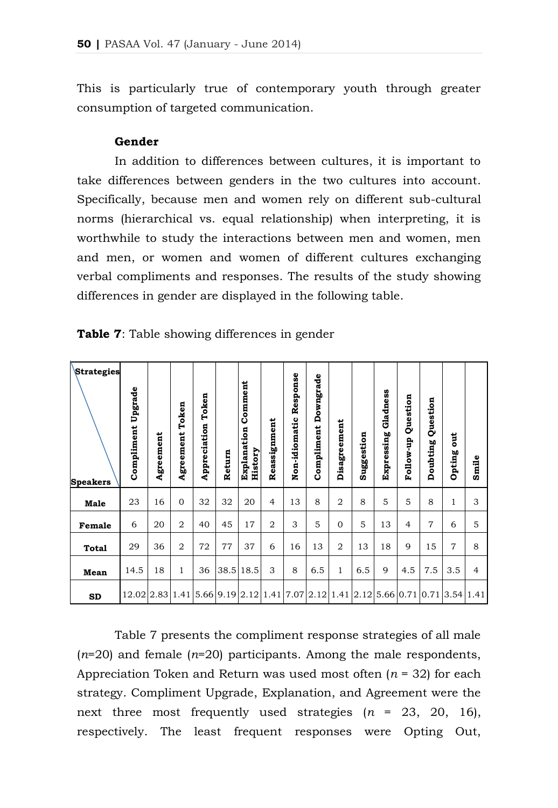This is particularly true of contemporary youth through greater consumption of targeted communication.

## **Gender**

In addition to differences between cultures, it is important to take differences between genders in the two cultures into account. Specifically, because men and women rely on different sub-cultural norms (hierarchical vs. equal relationship) when interpreting, it is worthwhile to study the interactions between men and women, men and men, or women and women of different cultures exchanging verbal compliments and responses. The results of the study showing differences in gender are displayed in the following table.

| <b>Strategies</b><br><b>Speakers</b> | Upgrade<br>Compliment                                               | Agreement | Agreement Token | Token<br>Appreciation | Return | Comment<br>Explanation<br>History | Reassignment   | Non-idiomatic Response | <b>Compliment Downgrade</b> | Disagreement   | Suggestion | Gladness<br>Expressing | Question<br>Follow-up | Question<br>Doubting | <b>jii</b><br>Opting | Smile          |
|--------------------------------------|---------------------------------------------------------------------|-----------|-----------------|-----------------------|--------|-----------------------------------|----------------|------------------------|-----------------------------|----------------|------------|------------------------|-----------------------|----------------------|----------------------|----------------|
| <b>Male</b>                          | 23                                                                  | 16        | $\overline{0}$  | 32                    | 32     | 20                                | $\overline{4}$ | 13                     | 8                           | $\overline{2}$ | 8          | 5                      | 5                     | 8                    | 1                    | 3              |
| Female                               | 6                                                                   | 20        | $\overline{2}$  | 40                    | 45     | 17                                | $\overline{2}$ | 3                      | 5                           | $\mathbf{0}$   | 5          | 13                     | $\overline{4}$        | $\overline{7}$       | 6                    | 5              |
| <b>Total</b>                         | 29                                                                  | 36        | $\overline{2}$  | 72                    | 77     | 37                                | 6              | 16                     | 13                          | $\overline{2}$ | 13         | 18                     | 9                     | 15                   | $\overline{7}$       | 8              |
| Mean                                 | 14.5                                                                | 18        | $\mathbf{1}$    | 36                    |        | 38.5 18.5                         | 3              | 8                      | 6.5                         | $\mathbf{1}$   | 6.5        | 9                      | 4.5                   | 7.5                  | 3.5                  | $\overline{4}$ |
| <b>SD</b>                            | $12.02 2.83 1.41 5.66 9.19 2.12 1.41 7.07 2.12 1.41 2.12 5.66 0.71$ |           |                 |                       |        |                                   |                |                        |                             |                |            |                        |                       | $0.71$ 3.54          |                      | 1.41           |

**Table 7**: Table showing differences in gender

Table 7 presents the compliment response strategies of all male (*n*=20) and female (*n*=20) participants. Among the male respondents, Appreciation Token and Return was used most often (*n* = 32) for each strategy. Compliment Upgrade, Explanation, and Agreement were the next three most frequently used strategies (*n* = 23, 20, 16), respectively. The least frequent responses were Opting Out,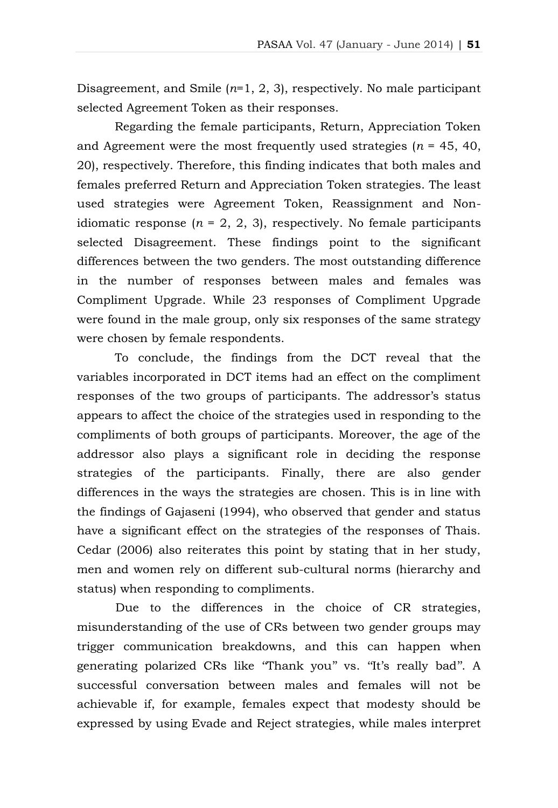Disagreement, and Smile (*n*=1, 2, 3), respectively. No male participant selected Agreement Token as their responses.

Regarding the female participants, Return, Appreciation Token and Agreement were the most frequently used strategies ( $n = 45, 40,$ 20), respectively. Therefore, this finding indicates that both males and females preferred Return and Appreciation Token strategies. The least used strategies were Agreement Token, Reassignment and Nonidiomatic response  $(n = 2, 2, 3)$ , respectively. No female participants selected Disagreement. These findings point to the significant differences between the two genders. The most outstanding difference in the number of responses between males and females was Compliment Upgrade. While 23 responses of Compliment Upgrade were found in the male group, only six responses of the same strategy were chosen by female respondents.

To conclude, the findings from the DCT reveal that the variables incorporated in DCT items had an effect on the compliment responses of the two groups of participants. The addressor's status appears to affect the choice of the strategies used in responding to the compliments of both groups of participants. Moreover, the age of the addressor also plays a significant role in deciding the response strategies of the participants. Finally, there are also gender differences in the ways the strategies are chosen. This is in line with the findings of Gajaseni (1994), who observed that gender and status have a significant effect on the strategies of the responses of Thais. Cedar (2006) also reiterates this point by stating that in her study, men and women rely on different sub-cultural norms (hierarchy and status) when responding to compliments.

Due to the differences in the choice of CR strategies, misunderstanding of the use of CRs between two gender groups may trigger communication breakdowns, and this can happen when generating polarized CRs like "Thank you" vs. "It's really bad". A successful conversation between males and females will not be achievable if, for example, females expect that modesty should be expressed by using Evade and Reject strategies, while males interpret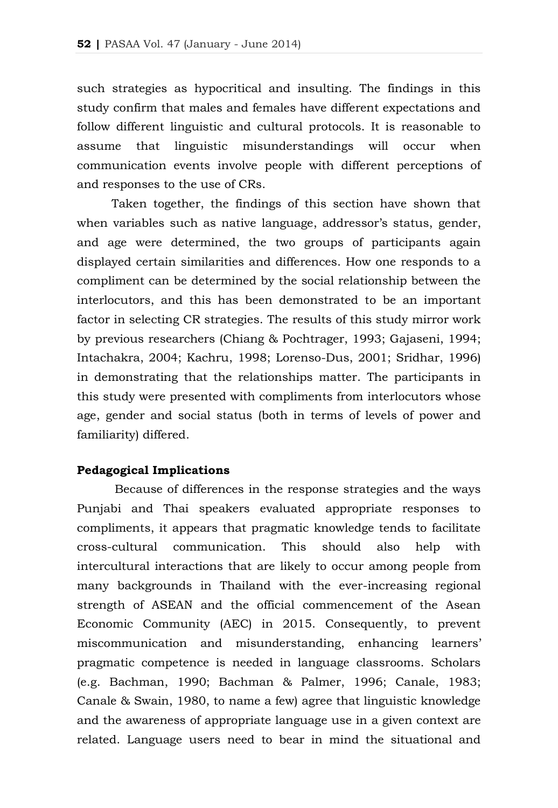such strategies as hypocritical and insulting. The findings in this study confirm that males and females have different expectations and follow different linguistic and cultural protocols. It is reasonable to assume that linguistic misunderstandings will occur when communication events involve people with different perceptions of and responses to the use of CRs.

Taken together, the findings of this section have shown that when variables such as native language, addressor's status, gender, and age were determined, the two groups of participants again displayed certain similarities and differences. How one responds to a compliment can be determined by the social relationship between the interlocutors, and this has been demonstrated to be an important factor in selecting CR strategies. The results of this study mirror work by previous researchers (Chiang & Pochtrager, 1993; Gajaseni, 1994; Intachakra, 2004; Kachru, 1998; Lorenso-Dus, 2001; Sridhar, 1996) in demonstrating that the relationships matter. The participants in this study were presented with compliments from interlocutors whose age, gender and social status (both in terms of levels of power and familiarity) differed.

#### **Pedagogical Implications**

Because of differences in the response strategies and the ways Punjabi and Thai speakers evaluated appropriate responses to compliments, it appears that pragmatic knowledge tends to facilitate cross-cultural communication. This should also help with intercultural interactions that are likely to occur among people from many backgrounds in Thailand with the ever-increasing regional strength of ASEAN and the official commencement of the Asean Economic Community (AEC) in 2015. Consequently, to prevent miscommunication and misunderstanding, enhancing learners' pragmatic competence is needed in language classrooms. Scholars (e.g. Bachman, 1990; Bachman & Palmer, 1996; Canale, 1983; Canale & Swain, 1980, to name a few) agree that linguistic knowledge and the awareness of appropriate language use in a given context are related. Language users need to bear in mind the situational and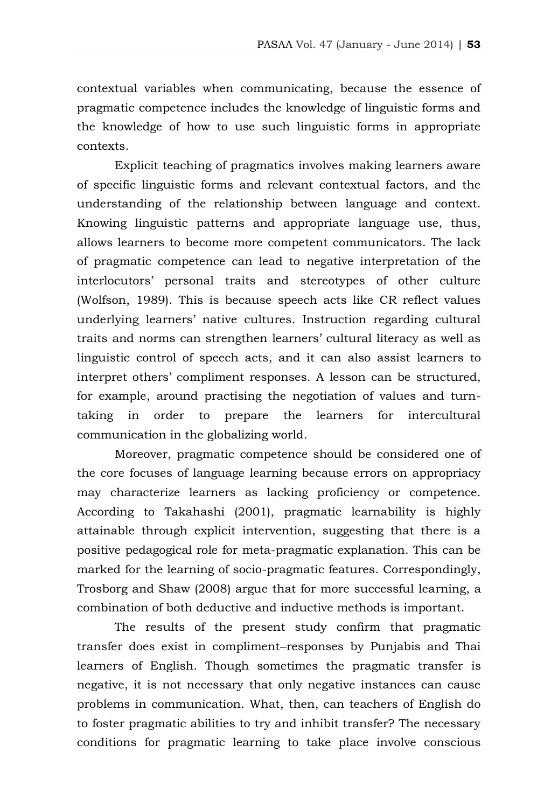contextual variables when communicating, because the essence of pragmatic competence includes the knowledge of linguistic forms and the knowledge of how to use such linguistic forms in appropriate contexts.

Explicit teaching of pragmatics involves making learners aware of specific linguistic forms and relevant contextual factors, and the understanding of the relationship between language and context. Knowing linguistic patterns and appropriate language use, thus, allows learners to become more competent communicators. The lack of pragmatic competence can lead to negative interpretation of the interlocutors' personal traits and stereotypes of other culture (Wolfson, 1989). This is because speech acts like CR reflect values underlying learners' native cultures. Instruction regarding cultural traits and norms can strengthen learners' cultural literacy as well as linguistic control of speech acts, and it can also assist learners to interpret others' compliment responses. A lesson can be structured, for example, around practising the negotiation of values and turntaking in order to prepare the learners for intercultural communication in the globalizing world.

Moreover, pragmatic competence should be considered one of the core focuses of language learning because errors on appropriacy may characterize learners as lacking proficiency or competence. According to Takahashi (2001), pragmatic learnability is highly attainable through explicit intervention, suggesting that there is a positive pedagogical role for meta-pragmatic explanation. This can be marked for the learning of socio-pragmatic features. Correspondingly, Trosborg and Shaw (2008) argue that for more successful learning, a combination of both deductive and inductive methods is important.

The results of the present study confirm that pragmatic transfer does exist in compliment responses by Punjabis and Thai learners of English. Though sometimes the pragmatic transfer is negative, it is not necessary that only negative instances can cause problems in communication. What, then, can teachers of English do to foster pragmatic abilities to try and inhibit transfer? The necessary conditions for pragmatic learning to take place involve conscious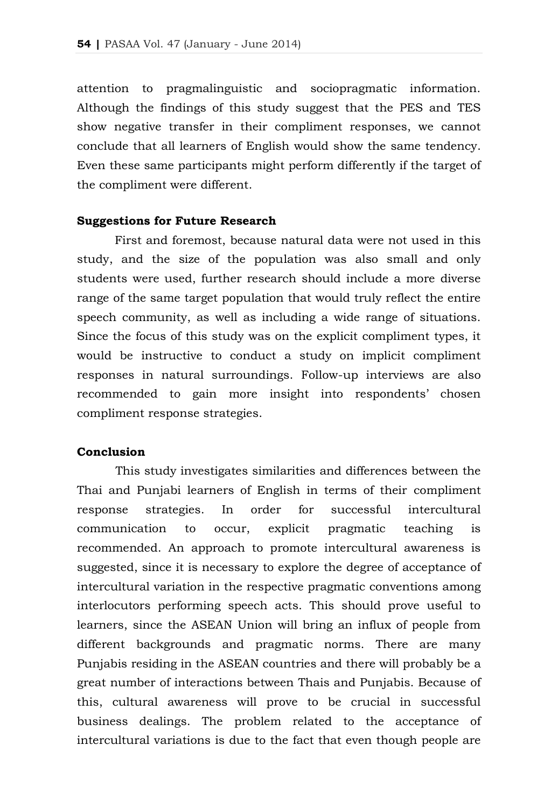attention to pragmalinguistic and sociopragmatic information. Although the findings of this study suggest that the PES and TES show negative transfer in their compliment responses, we cannot conclude that all learners of English would show the same tendency. Even these same participants might perform differently if the target of the compliment were different.

#### **Suggestions for Future Research**

First and foremost, because natural data were not used in this study, and the size of the population was also small and only students were used, further research should include a more diverse range of the same target population that would truly reflect the entire speech community, as well as including a wide range of situations. Since the focus of this study was on the explicit compliment types, it would be instructive to conduct a study on implicit compliment responses in natural surroundings. Follow-up interviews are also recommended to gain more insight into respondents' chosen compliment response strategies.

## **Conclusion**

This study investigates similarities and differences between the Thai and Punjabi learners of English in terms of their compliment response strategies. In order for successful intercultural communication to occur, explicit pragmatic teaching is recommended. An approach to promote intercultural awareness is suggested, since it is necessary to explore the degree of acceptance of intercultural variation in the respective pragmatic conventions among interlocutors performing speech acts. This should prove useful to learners, since the ASEAN Union will bring an influx of people from different backgrounds and pragmatic norms. There are many Punjabis residing in the ASEAN countries and there will probably be a great number of interactions between Thais and Punjabis. Because of this, cultural awareness will prove to be crucial in successful business dealings. The problem related to the acceptance of intercultural variations is due to the fact that even though people are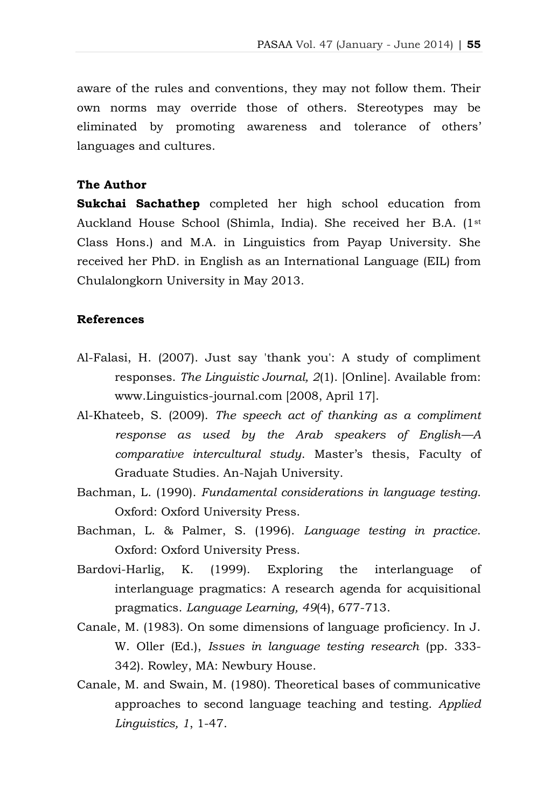aware of the rules and conventions, they may not follow them. Their own norms may override those of others. Stereotypes may be eliminated by promoting awareness and tolerance of others' languages and cultures.

# **The Author**

**Sukchai Sachathep** completed her high school education from Auckland House School (Shimla, India). She received her B.A. (1st Class Hons.) and M.A. in Linguistics from Payap University. She received her PhD. in English as an International Language (EIL) from Chulalongkorn University in May 2013.

## **References**

- Al-Falasi, H. (2007). Just say 'thank you': A study of compliment responses. *The Linguistic Journal, 2*(1). [Online]. Available from: www.Linguistics-journal.com [2008, April 17].
- Al-Khateeb, S. (2009). *The speech act of thanking as a compliment response as used by the Arab speakers of English—A comparative intercultural study*. Master's thesis, Faculty of Graduate Studies. An-Najah University.
- Bachman, L. (1990). *Fundamental considerations in language testing*. Oxford: Oxford University Press.
- Bachman, L. & Palmer, S. (1996). *Language testing in practice*. Oxford: Oxford University Press.
- Bardovi-Harlig, K. (1999). Exploring the interlanguage of interlanguage pragmatics: A research agenda for acquisitional pragmatics. *Language Learning, 49*(4), 677-713.
- Canale, M. (1983). On some dimensions of language proficiency. In J. W. Oller (Ed.), *Issues in language testing research* (pp. 333- 342). Rowley, MA: Newbury House.
- Canale, M. and Swain, M. (1980). Theoretical bases of communicative approaches to second language teaching and testing. *Applied Linguistics, 1*, 1-47.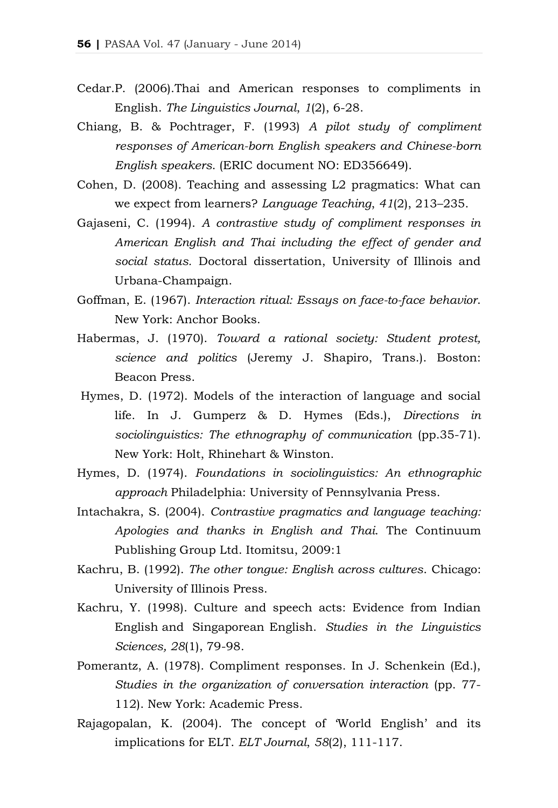- Cedar.P. (2006).Thai and American responses to compliments in English. *The Linguistics Journal*, *1*(2), 6-28.
- Chiang, B. & Pochtrager, F. (1993) *A pilot study of compliment responses of American-born English speakers and Chinese-born English speakers*. (ERIC document NO: ED356649).
- Cohen, D. (2008). Teaching and assessing L2 pragmatics: What can we expect from learners? *Language Teaching*, *41*(2), 213–235.
- Gajaseni, C. (1994). *A contrastive study of compliment responses in American English and Thai including the effect of gender and social status.* Doctoral dissertation, University of Illinois and Urbana-Champaign.
- Goffman, E. (1967). *Interaction ritual: Essays on face-to-face behavior*. New York: Anchor Books.
- Habermas, J. (1970). *Toward a rational society: Student protest, science and politics* (Jeremy J. Shapiro, Trans.). Boston: Beacon Press.
- Hymes, D. (1972). Models of the interaction of language and social life. In J. Gumperz & D. Hymes (Eds.), *Directions in sociolinguistics: The ethnography of communication* (pp.35-71). New York: Holt, Rhinehart & Winston.
- Hymes, D. (1974). *Foundations in sociolinguistics: An ethnographic approach* Philadelphia: University of Pennsylvania Press.
- Intachakra, S. (2004). *Contrastive pragmatics and language teaching: Apologies and thanks in English and Thai*. The Continuum Publishing Group Ltd. Itomitsu, 2009:1
- Kachru, B. (1992). *The other tongue: English across cultures*. Chicago: University of Illinois Press.
- Kachru, Y. (1998). Culture and speech acts: Evidence from Indian English and Singaporean English. *Studies in the Linguistics Sciences, 28*(1), 79-98.
- Pomerantz, A. (1978). Compliment responses. In J. Schenkein (Ed.), *Studies in the organization of conversation interaction* (pp. 77- 112). New York: Academic Press.
- Rajagopalan, K. (2004). The concept of 'World English' and its implications for ELT. *ELT Journal*, *58*(2), 111-117.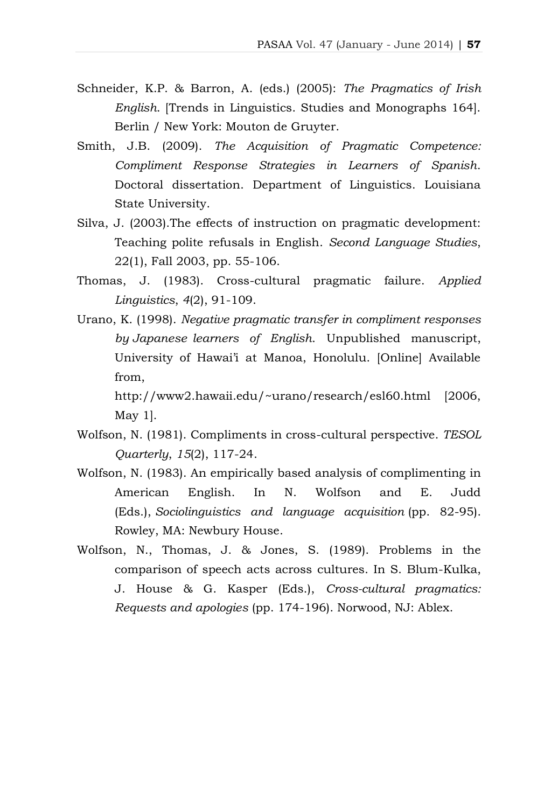- Schneider, K.P. & Barron, A. (eds.) (2005): *The Pragmatics of Irish English*. [Trends in Linguistics. Studies and Monographs 164]. Berlin / New York: Mouton de Gruyter.
- Smith, J.B. (2009). *The Acquisition of Pragmatic Competence: Compliment Response Strategies in Learners of Spanish*. Doctoral dissertation. Department of Linguistics. Louisiana State University.
- Silva, J. (2003).The effects of instruction on pragmatic development: Teaching polite refusals in English. *Second Language Studies*, 22(1), Fall 2003, pp. 55-106.
- Thomas, J. (1983). Cross-cultural pragmatic failure. *Applied Linguistics*, *4*(2), 91-109.
- Urano, K. (1998). *Negative pragmatic transfer in compliment responses by Japanese learners of English*. Unpublished manuscript, University of Hawai'i at Manoa, Honolulu. [Online] Available from,

http://www2.hawaii.edu/~urano/research/esl60.html [2006, May 1].

- Wolfson, N. (1981). Compliments in cross-cultural perspective. *TESOL Quarterly*, *15*(2), 117-24.
- Wolfson, N. (1983). An empirically based analysis of complimenting in American English. In N. Wolfson and E. Judd (Eds.), *Sociolinguistics and language acquisition* (pp. 82-95). Rowley, MA: Newbury House.
- Wolfson, N., Thomas, J. & Jones, S. (1989). Problems in the comparison of speech acts across cultures. In S. Blum-Kulka, J. House & G. Kasper (Eds.), *Cross-cultural pragmatics: Requests and apologies* (pp. 174-196). Norwood, NJ: Ablex.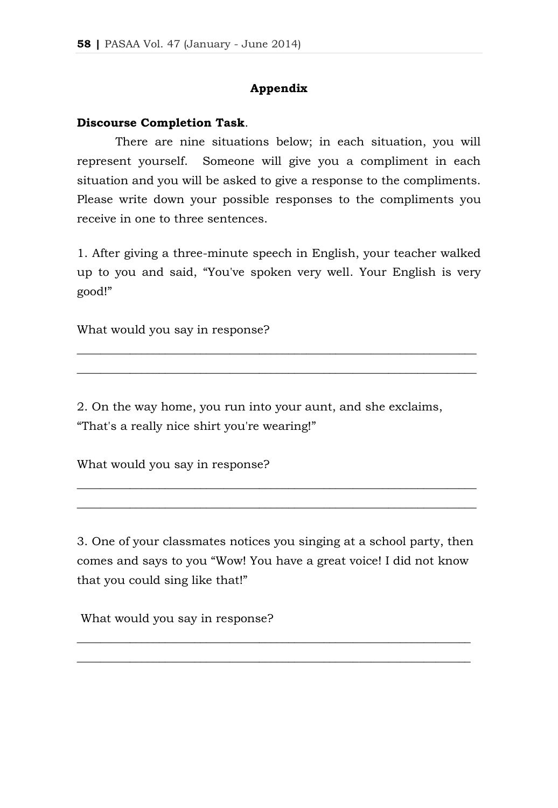## **Appendix**

#### **Discourse Completion Task**.

There are nine situations below; in each situation, you will represent yourself. Someone will give you a compliment in each situation and you will be asked to give a response to the compliments. Please write down your possible responses to the compliments you receive in one to three sentences.

1. After giving a three-minute speech in English, your teacher walked up to you and said, "You've spoken very well. Your English is very good!"

\_\_\_\_\_\_\_\_\_\_\_\_\_\_\_\_\_\_\_\_\_\_\_\_\_\_\_\_\_\_\_\_\_\_\_\_\_\_\_\_\_\_\_\_\_\_\_\_\_\_\_\_\_\_\_\_\_\_\_\_\_\_\_\_\_\_\_\_ \_\_\_\_\_\_\_\_\_\_\_\_\_\_\_\_\_\_\_\_\_\_\_\_\_\_\_\_\_\_\_\_\_\_\_\_\_\_\_\_\_\_\_\_\_\_\_\_\_\_\_\_\_\_\_\_\_\_\_\_\_\_\_\_\_\_\_\_

What would you say in response?

2. On the way home, you run into your aunt, and she exclaims, "That's a really nice shirt you're wearing!"

What would you say in response?

3. One of your classmates notices you singing at a school party, then comes and says to you "Wow! You have a great voice! I did not know that you could sing like that!"

\_\_\_\_\_\_\_\_\_\_\_\_\_\_\_\_\_\_\_\_\_\_\_\_\_\_\_\_\_\_\_\_\_\_\_\_\_\_\_\_\_\_\_\_\_\_\_\_\_\_\_\_\_\_\_\_\_\_\_\_\_\_\_\_\_\_\_ \_\_\_\_\_\_\_\_\_\_\_\_\_\_\_\_\_\_\_\_\_\_\_\_\_\_\_\_\_\_\_\_\_\_\_\_\_\_\_\_\_\_\_\_\_\_\_\_\_\_\_\_\_\_\_\_\_\_\_\_\_\_\_\_\_\_\_

\_\_\_\_\_\_\_\_\_\_\_\_\_\_\_\_\_\_\_\_\_\_\_\_\_\_\_\_\_\_\_\_\_\_\_\_\_\_\_\_\_\_\_\_\_\_\_\_\_\_\_\_\_\_\_\_\_\_\_\_\_\_\_\_\_\_\_\_ \_\_\_\_\_\_\_\_\_\_\_\_\_\_\_\_\_\_\_\_\_\_\_\_\_\_\_\_\_\_\_\_\_\_\_\_\_\_\_\_\_\_\_\_\_\_\_\_\_\_\_\_\_\_\_\_\_\_\_\_\_\_\_\_\_\_\_\_

What would you say in response?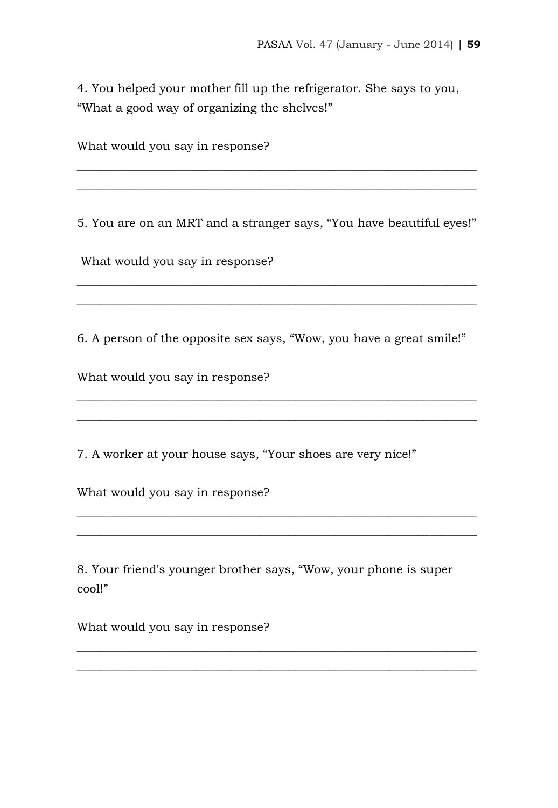4. You helped your mother fill up the refrigerator. She says to you, "What a good way of organizing the shelves!"

What would you say in response?

5. You are on an MRT and a stranger says, "You have beautiful eyes!"

\_\_\_\_\_\_\_\_\_\_\_\_\_\_\_\_\_\_\_\_\_\_\_\_\_\_\_\_\_\_\_\_\_\_\_\_\_\_\_\_\_\_\_\_\_\_\_\_\_\_\_\_\_\_\_\_\_\_\_\_\_\_\_\_\_\_\_\_ \_\_\_\_\_\_\_\_\_\_\_\_\_\_\_\_\_\_\_\_\_\_\_\_\_\_\_\_\_\_\_\_\_\_\_\_\_\_\_\_\_\_\_\_\_\_\_\_\_\_\_\_\_\_\_\_\_\_\_\_\_\_\_\_\_\_\_\_

\_\_\_\_\_\_\_\_\_\_\_\_\_\_\_\_\_\_\_\_\_\_\_\_\_\_\_\_\_\_\_\_\_\_\_\_\_\_\_\_\_\_\_\_\_\_\_\_\_\_\_\_\_\_\_\_\_\_\_\_\_\_\_\_\_\_\_\_ \_\_\_\_\_\_\_\_\_\_\_\_\_\_\_\_\_\_\_\_\_\_\_\_\_\_\_\_\_\_\_\_\_\_\_\_\_\_\_\_\_\_\_\_\_\_\_\_\_\_\_\_\_\_\_\_\_\_\_\_\_\_\_\_\_\_\_\_

What would you say in response?

6. A person of the opposite sex says, "Wow, you have a great smile!"

\_\_\_\_\_\_\_\_\_\_\_\_\_\_\_\_\_\_\_\_\_\_\_\_\_\_\_\_\_\_\_\_\_\_\_\_\_\_\_\_\_\_\_\_\_\_\_\_\_\_\_\_\_\_\_\_\_\_\_\_\_\_\_\_\_\_\_\_ \_\_\_\_\_\_\_\_\_\_\_\_\_\_\_\_\_\_\_\_\_\_\_\_\_\_\_\_\_\_\_\_\_\_\_\_\_\_\_\_\_\_\_\_\_\_\_\_\_\_\_\_\_\_\_\_\_\_\_\_\_\_\_\_\_\_\_\_

\_\_\_\_\_\_\_\_\_\_\_\_\_\_\_\_\_\_\_\_\_\_\_\_\_\_\_\_\_\_\_\_\_\_\_\_\_\_\_\_\_\_\_\_\_\_\_\_\_\_\_\_\_\_\_\_\_\_\_\_\_\_\_\_\_\_\_\_ \_\_\_\_\_\_\_\_\_\_\_\_\_\_\_\_\_\_\_\_\_\_\_\_\_\_\_\_\_\_\_\_\_\_\_\_\_\_\_\_\_\_\_\_\_\_\_\_\_\_\_\_\_\_\_\_\_\_\_\_\_\_\_\_\_\_\_\_

What would you say in response?

7. A worker at your house says, "Your shoes are very nice!"

What would you say in response?

8. Your friend's younger brother says, "Wow, your phone is super cool!"

\_\_\_\_\_\_\_\_\_\_\_\_\_\_\_\_\_\_\_\_\_\_\_\_\_\_\_\_\_\_\_\_\_\_\_\_\_\_\_\_\_\_\_\_\_\_\_\_\_\_\_\_\_\_\_\_\_\_\_\_\_\_\_\_\_\_\_\_ \_\_\_\_\_\_\_\_\_\_\_\_\_\_\_\_\_\_\_\_\_\_\_\_\_\_\_\_\_\_\_\_\_\_\_\_\_\_\_\_\_\_\_\_\_\_\_\_\_\_\_\_\_\_\_\_\_\_\_\_\_\_\_\_\_\_\_\_

What would you say in response?